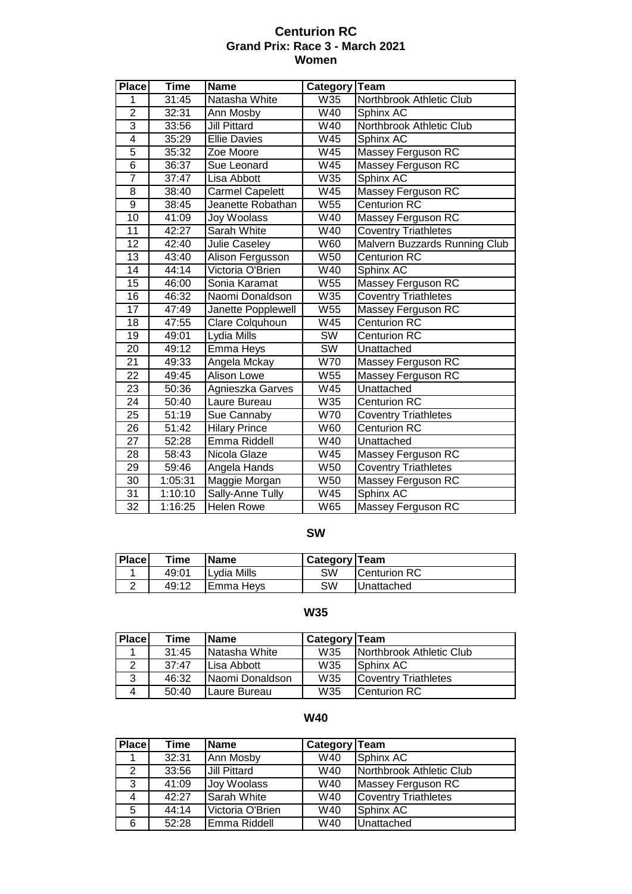### **Centurion RC Grand Prix: Race 3 - March 2021 Women**

| <b>Place</b>    | <b>Time</b> | <b>Name</b>            | Category               | Team                          |
|-----------------|-------------|------------------------|------------------------|-------------------------------|
| 1               | 31:45       | Natasha White          | W35                    | Northbrook Athletic Club      |
| $\overline{2}$  | 32:31       | Ann Mosby              | W40                    | Sphinx AC                     |
| $\overline{3}$  | 33:56       | <b>Jill Pittard</b>    | W40                    | Northbrook Athletic Club      |
| $\overline{4}$  | 35:29       | <b>Ellie Davies</b>    | W <sub>45</sub>        | Sphinx AC                     |
| $\overline{5}$  | 35:32       | Zoe Moore              | W45                    | Massey Ferguson RC            |
| $\overline{6}$  | 36:37       | Sue Leonard            | W <sub>45</sub>        | Massey Ferguson RC            |
| $\overline{7}$  | 37:47       | Lisa Abbott            | W35                    | Sphinx AC                     |
| $\overline{8}$  | 38:40       | <b>Carmel Capelett</b> | W <sub>45</sub>        | Massey Ferguson RC            |
| $\overline{9}$  | 38:45       | Jeanette Robathan      | W55                    | <b>Centurion RC</b>           |
| $\overline{10}$ | 41:09       | Joy Woolass            | W40                    | Massey Ferguson RC            |
| 11              | 42:27       | Sarah White            | W40                    | <b>Coventry Triathletes</b>   |
| $\overline{12}$ | 42:40       | Julie Caseley          | W60                    | Malvern Buzzards Running Club |
| $\overline{13}$ | 43:40       | Alison Fergusson       | W <sub>50</sub>        | <b>Centurion RC</b>           |
| $\overline{14}$ | 44:14       | Victoria O'Brien       | W40                    | Sphinx AC                     |
| $\overline{15}$ | 46:00       | Sonia Karamat          | W55                    | <b>Massey Ferguson RC</b>     |
| 16              | 46:32       | Naomi Donaldson        | W35                    | <b>Coventry Triathletes</b>   |
| $\overline{17}$ | 47:49       | Janette Popplewell     | W55                    | Massey Ferguson RC            |
| 18              | 47:55       | Clare Colquhoun        | W <sub>45</sub>        | <b>Centurion RC</b>           |
| 19              | 49:01       | Lydia Mills            | SW                     | <b>Centurion RC</b>           |
| $\overline{20}$ | 49:12       | Emma Heys              | $\overline{\text{SW}}$ | Unattached                    |
| $\overline{21}$ | 49:33       | Angela Mckay           | W70                    | Massey Ferguson RC            |
| 22              | 49:45       | <b>Alison Lowe</b>     | W55                    | Massey Ferguson RC            |
| 23              | 50:36       | Agnieszka Garves       | W45                    | Unattached                    |
| $\overline{24}$ | 50:40       | Laure Bureau           | W35                    | <b>Centurion RC</b>           |
| $\overline{25}$ | 51:19       | Sue Cannaby            | W70                    | <b>Coventry Triathletes</b>   |
| 26              | 51:42       | <b>Hilary Prince</b>   | W60                    | <b>Centurion RC</b>           |
| 27              | 52:28       | Emma Riddell           | W40                    | Unattached                    |
| 28              | 58:43       | Nicola Glaze           | W45                    | Massey Ferguson RC            |
| 29              | 59:46       | Angela Hands           | W50                    | <b>Coventry Triathletes</b>   |
| 30              | 1:05:31     | Maggie Morgan          | W50                    | Massey Ferguson RC            |
| 31              | 1:10:10     | Sally-Anne Tully       | W45                    | Sphinx AC                     |
| $\overline{32}$ | 1:16:25     | <b>Helen Rowe</b>      | W65                    | Massey Ferguson RC            |

#### **SW**

| <b>Place</b> | Time  | <b>Name</b>          | <b>Category Team</b> |                      |
|--------------|-------|----------------------|----------------------|----------------------|
|              | 49:01 | <b>I</b> Lvdia Mills | SW                   | <b>ICenturion RC</b> |
| ▃            | 49:12 | IEmma Hevs           | SW                   | Unattached           |

## **W35**

| <b>Place</b> | Time  | <b>Name</b>          | Category Team   |                              |
|--------------|-------|----------------------|-----------------|------------------------------|
|              | 31:45 | Natasha White        | W <sub>35</sub> | Northbrook Athletic Club     |
|              | 37:47 | Lisa Abbott          | W35             | Sphinx AC                    |
| 3            | 46:32 | Naomi Donaldson      | W35             | <b>ICoventry Triathletes</b> |
| 4            | 50:40 | <b>ILaure Bureau</b> | W35             | Centurion RC                 |

### **W40**

| <b>Place</b> | Time  | <b>Name</b>         | Category Team |                             |
|--------------|-------|---------------------|---------------|-----------------------------|
|              | 32:31 | Ann Mosby           | W40           | Sphinx AC                   |
| 2            | 33:56 | Jill Pittard        | W40           | Northbrook Athletic Club    |
| 3            | 41:09 | Joy Woolass         | W40           | Massey Ferguson RC          |
| 4            | 42:27 | <b>S</b> arah White | W40           | <b>Coventry Triathletes</b> |
| 5            | 44:14 | Victoria O'Brien    | W40           | Sphinx AC                   |
| 6            | 52:28 | Emma Riddell        | W40           | Unattached                  |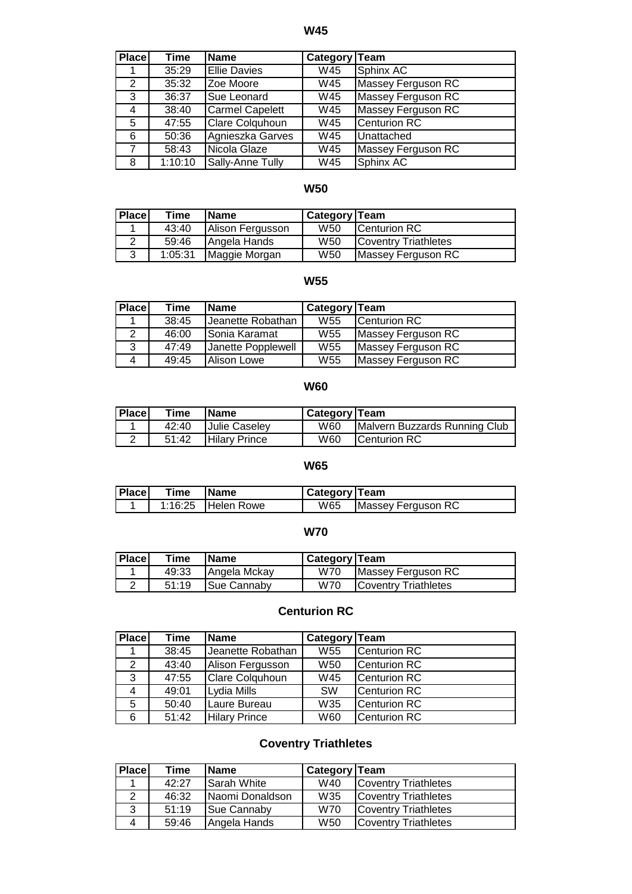**W45**

| Place | Time    | <b>IName</b>           | Category Team |                           |
|-------|---------|------------------------|---------------|---------------------------|
|       | 35:29   | <b>Ellie Davies</b>    | W45           | Sphinx AC                 |
| 2     | 35:32   | Zoe Moore              | W45           | Massey Ferguson RC        |
| 3     | 36:37   | <b>Sue Leonard</b>     | W45           | Massey Ferguson RC        |
| 4     | 38:40   | Carmel Capelett        | W45           | <b>Massey Ferguson RC</b> |
| 5     | 47:55   | <b>Clare Colquhoun</b> | W45           | <b>Centurion RC</b>       |
| 6     | 50:36   | Agnieszka Garves       | W45           | Unattached                |
| 7     | 58:43   | Nicola Glaze           | W45           | <b>Massey Ferguson RC</b> |
| 8     | 1:10:10 | Sally-Anne Tully       | W45           | Sphinx AC                 |

# **W50**

| <b>Place</b> | Time    | <b>IName</b>     | <b>Category Team</b> |                             |
|--------------|---------|------------------|----------------------|-----------------------------|
|              | 43:40   | Alison Fergusson | W <sub>50</sub>      | <b>ICenturion RC</b>        |
|              | 59:46   | Angela Hands     | W <sub>50</sub>      | <b>Coventry Triathletes</b> |
| 3            | 1:05:31 | Maggie Morgan    | W50                  | Massey Ferguson RC          |

# **W55**

| <b>Place</b> | Time  | <b>Name</b>        | Category Team   |                    |
|--------------|-------|--------------------|-----------------|--------------------|
|              | 38:45 | Jeanette Robathan  | W <sub>55</sub> | Centurion RC       |
| 2            | 46:00 | Sonia Karamat      | W55             | Massey Ferguson RC |
| 3            | 47:49 | Janette Popplewell | W <sub>55</sub> | Massey Ferguson RC |
| 4            | 49:45 | Alison Lowe        | W55             | Massey Ferguson RC |

#### **W60**

| Place | Time  | <b>Name</b>          | Category   Team |                               |
|-------|-------|----------------------|-----------------|-------------------------------|
|       | 42:40 | Julie Caseley        | W60             | Malvern Buzzards Running Club |
|       | 51:42 | <b>Hilary Prince</b> | W60             | <b>ICenturion RC</b>          |

#### **W65**

| <b>Place</b> | Time | <b>Name</b>        | Category   Team |                    |
|--------------|------|--------------------|-----------------|--------------------|
|              |      | 1:16:25 Helen Rowe | W65             | Massey Ferguson RC |

## **W70**

| <b>Place</b> | Time  | 'Name        | Category   Team |                              |
|--------------|-------|--------------|-----------------|------------------------------|
|              | 49:33 | Angela Mckay | W70             | Massey Ferguson RC           |
|              | 51:19 | Sue Cannaby  | W70             | <b>ICoventry Triathletes</b> |

## **Centurion RC**

| <b>Place</b>  | Time  | <b>Name</b>          | Category Team   |                     |
|---------------|-------|----------------------|-----------------|---------------------|
|               | 38:45 | Jeanette Robathan    | W <sub>55</sub> | Centurion RC        |
| $\mathcal{P}$ | 43:40 | Alison Fergusson     | W <sub>50</sub> | <b>Centurion RC</b> |
| 3             | 47:55 | Clare Colquhoun      | W45             | <b>Centurion RC</b> |
| 4             | 49:01 | Lydia Mills          | <b>SW</b>       | <b>Centurion RC</b> |
| 5.            | 50:40 | Laure Bureau         | W35             | Centurion RC        |
| 6             | 51:42 | <b>Hilary Prince</b> | W60             | <b>Centurion RC</b> |

# **Coventry Triathletes**

| <b>Place</b> | Time  | <b>IName</b>    | Category Team |                              |
|--------------|-------|-----------------|---------------|------------------------------|
|              | 42:27 | Sarah White     | W40           | <b>Coventry Triathletes</b>  |
| 2            | 46:32 | Naomi Donaldson | W35           | Coventry Triathletes         |
| 3            | 51:19 | Sue Cannaby     | W70           | <b>Coventry Triathletes</b>  |
| 4            | 59:46 | Angela Hands    | W50           | <b>ICoventry Triathletes</b> |